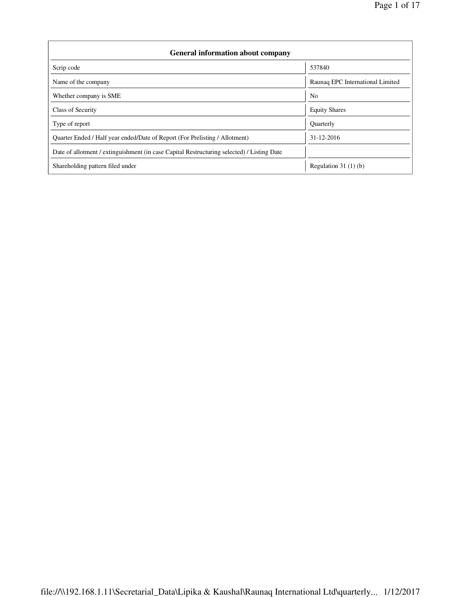| <b>General information about company</b>                                                   |                                  |  |  |  |  |  |
|--------------------------------------------------------------------------------------------|----------------------------------|--|--|--|--|--|
| Scrip code                                                                                 | 537840                           |  |  |  |  |  |
| Name of the company                                                                        | Raunaq EPC International Limited |  |  |  |  |  |
| Whether company is SME                                                                     | N <sub>0</sub>                   |  |  |  |  |  |
| Class of Security                                                                          | <b>Equity Shares</b>             |  |  |  |  |  |
| Type of report                                                                             | <b>Quarterly</b>                 |  |  |  |  |  |
| Quarter Ended / Half year ended/Date of Report (For Prelisting / Allotment)                | 31-12-2016                       |  |  |  |  |  |
| Date of allotment / extinguishment (in case Capital Restructuring selected) / Listing Date |                                  |  |  |  |  |  |
| Shareholding pattern filed under                                                           | Regulation $31(1)(b)$            |  |  |  |  |  |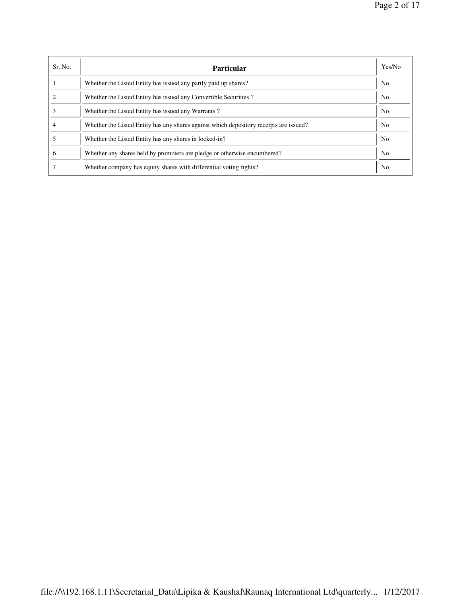| Sr. No.      | Particular                                                                             | Yes/No         |
|--------------|----------------------------------------------------------------------------------------|----------------|
|              | Whether the Listed Entity has issued any partly paid up shares?                        | N <sub>0</sub> |
|              | Whether the Listed Entity has issued any Convertible Securities?                       | N <sub>0</sub> |
|              | Whether the Listed Entity has issued any Warrants?                                     | N <sub>0</sub> |
|              | Whether the Listed Entity has any shares against which depository receipts are issued? | N <sub>0</sub> |
|              | Whether the Listed Entity has any shares in locked-in?                                 | N <sub>0</sub> |
| <sub>0</sub> | Whether any shares held by promoters are pledge or otherwise encumbered?               | N <sub>0</sub> |
|              | Whether company has equity shares with differential voting rights?                     | No             |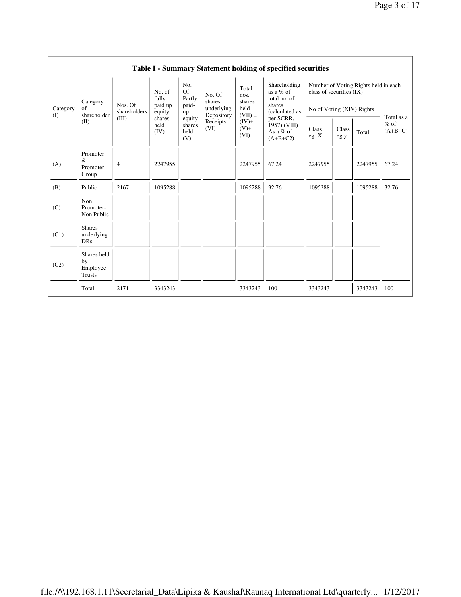|                 | Table I - Summary Statement holding of specified securities |                         |                        |                                 |                                              |                             |                                                                       |                                                                  |               |         |                     |
|-----------------|-------------------------------------------------------------|-------------------------|------------------------|---------------------------------|----------------------------------------------|-----------------------------|-----------------------------------------------------------------------|------------------------------------------------------------------|---------------|---------|---------------------|
| Category<br>(I) |                                                             | fully                   | No. of                 | No.<br>Of<br>Partly             | No. Of<br>shares<br>underlying<br>Depository | Total<br>nos.               | Shareholding<br>as a % of<br>total no. of<br>shares<br>(calculated as | Number of Voting Rights held in each<br>class of securities (IX) |               |         |                     |
|                 | Category<br>of<br>shareholder                               | Nos. Of<br>shareholders | paid up<br>equity      | paid-<br>up                     |                                              | shares<br>held<br>$(VII) =$ |                                                                       | No of Voting (XIV) Rights                                        |               |         | Total as a          |
|                 | (II)                                                        | (III)                   | shares<br>held<br>(IV) | equity<br>shares<br>held<br>(V) | Receipts<br>(VI)                             | $(IV)+$<br>$(V)$ +<br>(VI)  | per SCRR,<br>1957) (VIII)<br>As a $%$ of<br>$(A+B+C2)$                | Class<br>eg: X<br>2247955                                        | Class<br>eg:y | Total   | $%$ of<br>$(A+B+C)$ |
| (A)             | Promoter<br>$\&$<br>Promoter<br>Group                       | $\overline{4}$          | 2247955                |                                 |                                              | 2247955                     | 67.24                                                                 |                                                                  |               | 2247955 | 67.24               |
| (B)             | Public                                                      | 2167                    | 1095288                |                                 |                                              | 1095288                     | 32.76                                                                 | 1095288                                                          |               | 1095288 | 32.76               |
| (C)             | Non<br>Promoter-<br>Non Public                              |                         |                        |                                 |                                              |                             |                                                                       |                                                                  |               |         |                     |
| (C1)            | <b>Shares</b><br>underlying<br><b>DRs</b>                   |                         |                        |                                 |                                              |                             |                                                                       |                                                                  |               |         |                     |
| (C2)            | Shares held<br>by<br>Employee<br>Trusts                     |                         |                        |                                 |                                              |                             |                                                                       |                                                                  |               |         |                     |
|                 | Total                                                       | 2171                    | 3343243                |                                 |                                              | 3343243                     | 100                                                                   | 3343243                                                          |               | 3343243 | 100                 |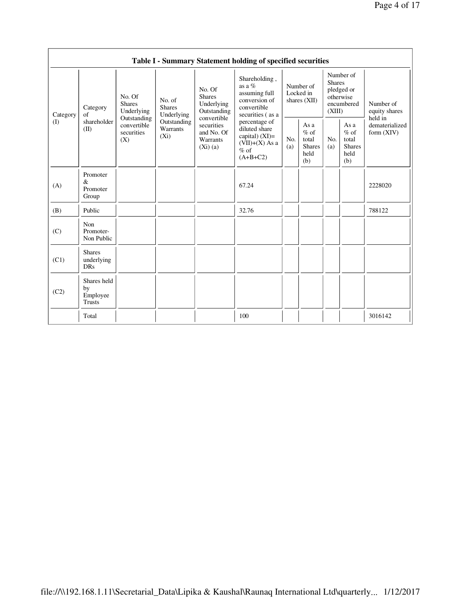|                       |                                                |                                                 |                                                                             |                                                                                                                        | Table I - Summary Statement holding of specified securities                                                                                                                                      |                                          |                                                          |                                                                               |                                                         |                                           |
|-----------------------|------------------------------------------------|-------------------------------------------------|-----------------------------------------------------------------------------|------------------------------------------------------------------------------------------------------------------------|--------------------------------------------------------------------------------------------------------------------------------------------------------------------------------------------------|------------------------------------------|----------------------------------------------------------|-------------------------------------------------------------------------------|---------------------------------------------------------|-------------------------------------------|
| Category<br>$\rm (I)$ | Category<br>of                                 | No. Of<br><b>Shares</b><br>Underlying           | No. of<br><b>Shares</b><br>Underlying<br>Outstanding<br>Warrants<br>$(X_i)$ | No. Of<br><b>Shares</b><br>Underlying<br>Outstanding<br>convertible<br>securities<br>and No. Of<br>Warrants<br>(Xi)(a) | Shareholding,<br>as a $%$<br>assuming full<br>conversion of<br>convertible<br>securities (as a<br>percentage of<br>diluted share<br>capital) $(XI)=$<br>$(VII)+(X)$ As a<br>$%$ of<br>$(A+B+C2)$ | Number of<br>Locked in<br>shares $(XII)$ |                                                          | Number of<br><b>Shares</b><br>pledged or<br>otherwise<br>encumbered<br>(XIII) |                                                         | Number of<br>equity shares                |
|                       | shareholder<br>(II)                            | Outstanding<br>convertible<br>securities<br>(X) |                                                                             |                                                                                                                        |                                                                                                                                                                                                  | No.<br>(a)                               | As a<br>$\%$ of<br>total<br><b>Shares</b><br>held<br>(b) | No.<br>(a)                                                                    | As a<br>$%$ of<br>total<br><b>Shares</b><br>held<br>(b) | held in<br>dematerialized<br>form $(XIV)$ |
| (A)                   | Promoter<br>&<br>Promoter<br>Group             |                                                 |                                                                             |                                                                                                                        | 67.24                                                                                                                                                                                            |                                          |                                                          |                                                                               |                                                         | 2228020                                   |
| (B)                   | Public                                         |                                                 |                                                                             |                                                                                                                        | 32.76                                                                                                                                                                                            |                                          |                                                          |                                                                               |                                                         | 788122                                    |
| (C)                   | Non<br>Promoter-<br>Non Public                 |                                                 |                                                                             |                                                                                                                        |                                                                                                                                                                                                  |                                          |                                                          |                                                                               |                                                         |                                           |
| (C1)                  | <b>Shares</b><br>underlying<br><b>DRs</b>      |                                                 |                                                                             |                                                                                                                        |                                                                                                                                                                                                  |                                          |                                                          |                                                                               |                                                         |                                           |
| (C2)                  | Shares held<br>by<br>Employee<br><b>Trusts</b> |                                                 |                                                                             |                                                                                                                        |                                                                                                                                                                                                  |                                          |                                                          |                                                                               |                                                         |                                           |
|                       | Total                                          |                                                 |                                                                             |                                                                                                                        | 100                                                                                                                                                                                              |                                          |                                                          |                                                                               |                                                         | 3016142                                   |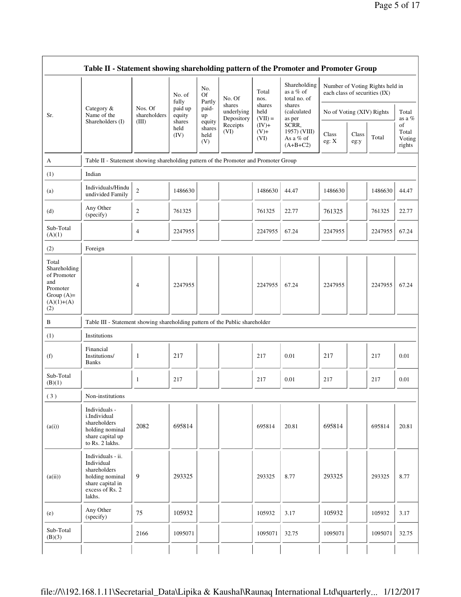|                                                                                                | Table II - Statement showing shareholding pattern of the Promoter and Promoter Group                                |                         |                                                                |                                                                              |                                    |                             |                                                  |                               |               |                                 |                                 |
|------------------------------------------------------------------------------------------------|---------------------------------------------------------------------------------------------------------------------|-------------------------|----------------------------------------------------------------|------------------------------------------------------------------------------|------------------------------------|-----------------------------|--------------------------------------------------|-------------------------------|---------------|---------------------------------|---------------------------------|
|                                                                                                |                                                                                                                     |                         | No. of<br>fully<br>paid up<br>equity<br>shares<br>held<br>(IV) | No.<br><b>Of</b><br>Partly<br>paid-<br>up<br>equity<br>shares<br>held<br>(V) | No. Of                             | Total<br>nos.               | Shareholding<br>as a % of<br>total no. of        | each class of securities (IX) |               | Number of Voting Rights held in |                                 |
| Sr.                                                                                            | Category &<br>Name of the                                                                                           | Nos. Of<br>shareholders |                                                                |                                                                              | shares<br>underlying<br>Depository | shares<br>held<br>$(VII) =$ | shares<br>(calculated<br>as per                  | No of Voting (XIV) Rights     |               |                                 | Total<br>as a %                 |
|                                                                                                | Shareholders (I)                                                                                                    | (III)                   |                                                                |                                                                              | Receipts<br>(VI)                   | $(IV)+$<br>$(V)+$<br>(VI)   | SCRR,<br>1957) (VIII)<br>As a % of<br>$(A+B+C2)$ | Class<br>eg: X                | Class<br>eg:y | Total                           | of<br>Total<br>Voting<br>rights |
| A                                                                                              | Table II - Statement showing shareholding pattern of the Promoter and Promoter Group                                |                         |                                                                |                                                                              |                                    |                             |                                                  |                               |               |                                 |                                 |
| (1)                                                                                            | Indian                                                                                                              |                         |                                                                |                                                                              |                                    |                             |                                                  |                               |               |                                 |                                 |
| (a)                                                                                            | Individuals/Hindu<br>undivided Family                                                                               | $\overline{c}$          | 1486630                                                        |                                                                              |                                    | 1486630                     | 44.47                                            | 1486630                       |               | 1486630                         | 44.47                           |
| (d)                                                                                            | Any Other<br>(specify)                                                                                              | 2                       | 761325                                                         |                                                                              |                                    | 761325                      | 22.77                                            | 761325                        |               | 761325                          | 22.77                           |
| Sub-Total<br>(A)(1)                                                                            |                                                                                                                     | 4                       | 2247955                                                        |                                                                              |                                    | 2247955                     | 67.24                                            | 2247955                       |               | 2247955                         | 67.24                           |
| (2)                                                                                            | Foreign                                                                                                             |                         |                                                                |                                                                              |                                    |                             |                                                  |                               |               |                                 |                                 |
| Total<br>Shareholding<br>of Promoter<br>and<br>Promoter<br>Group $(A)=$<br>$(A)(1)+(A)$<br>(2) |                                                                                                                     | 4                       | 2247955                                                        |                                                                              |                                    | 2247955                     | 67.24                                            | 2247955                       |               | 2247955                         | 67.24                           |
| $\, {\bf B}$                                                                                   | Table III - Statement showing shareholding pattern of the Public shareholder                                        |                         |                                                                |                                                                              |                                    |                             |                                                  |                               |               |                                 |                                 |
| (1)                                                                                            | Institutions                                                                                                        |                         |                                                                |                                                                              |                                    |                             |                                                  |                               |               |                                 |                                 |
| (f)                                                                                            | Financial<br>Institutions/<br><b>Banks</b>                                                                          | $\mathbf{1}$            | 217                                                            |                                                                              |                                    | 217                         | 0.01                                             | 217                           |               | 217                             | 0.01                            |
| Sub-Total<br>(B)(1)                                                                            |                                                                                                                     | 1                       | 217                                                            |                                                                              |                                    | 217                         | 0.01                                             | 217                           |               | 217                             | 0.01                            |
| (3)                                                                                            | Non-institutions                                                                                                    |                         |                                                                |                                                                              |                                    |                             |                                                  |                               |               |                                 |                                 |
| (a(i))                                                                                         | Individuals -<br>i.Individual<br>shareholders<br>holding nominal<br>share capital up<br>to Rs. 2 lakhs.             | 2082                    | 695814                                                         |                                                                              |                                    | 695814                      | 20.81                                            | 695814                        |               | 695814                          | 20.81                           |
| (a(ii))                                                                                        | Individuals - ii.<br>Individual<br>shareholders<br>holding nominal<br>share capital in<br>excess of Rs. 2<br>lakhs. | 9                       | 293325                                                         |                                                                              |                                    | 293325                      | 8.77                                             | 293325                        |               | 293325                          | 8.77                            |
| (e)                                                                                            | Any Other<br>(specify)                                                                                              | 75                      | 105932                                                         |                                                                              |                                    | 105932                      | 3.17                                             | 105932                        |               | 105932                          | 3.17                            |
| Sub-Total<br>(B)(3)                                                                            |                                                                                                                     | 2166                    | 1095071                                                        |                                                                              |                                    | 1095071                     | 32.75                                            | 1095071                       |               | 1095071                         | 32.75                           |
|                                                                                                |                                                                                                                     |                         |                                                                |                                                                              |                                    |                             |                                                  |                               |               |                                 |                                 |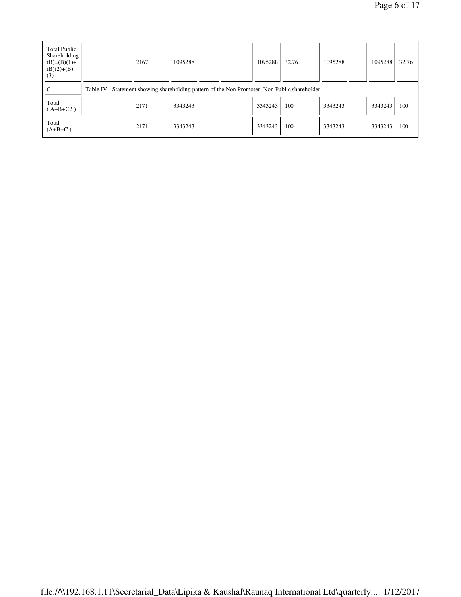| <b>Total Public</b><br>Shareholding<br>$(B)=(B)(1)+$<br>$(B)(2)+(B)$<br>(3) |                                                                                               | 2167 | 1095288 |  | 1095288 | 32.76 | 1095288 | 1095288 | 32.76 |
|-----------------------------------------------------------------------------|-----------------------------------------------------------------------------------------------|------|---------|--|---------|-------|---------|---------|-------|
| C                                                                           | Table IV - Statement showing shareholding pattern of the Non Promoter- Non Public shareholder |      |         |  |         |       |         |         |       |
| Total<br>$(A+B+C2)$                                                         |                                                                                               | 2171 | 3343243 |  | 3343243 | 100   | 3343243 | 3343243 | 100   |
| Total<br>$(A+B+C)$                                                          |                                                                                               | 2171 | 3343243 |  | 3343243 | 100   | 3343243 | 3343243 | 100   |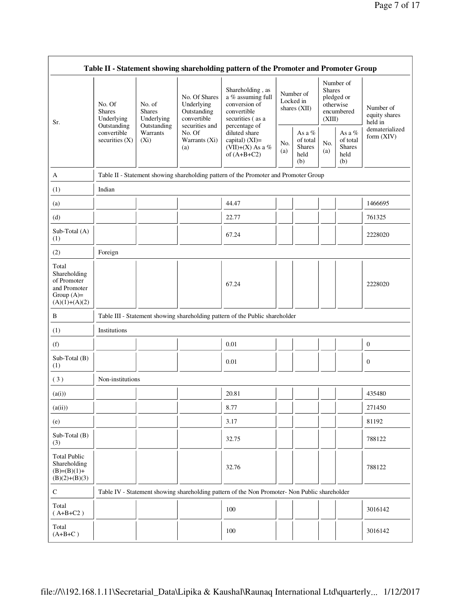|                                                                                         |                                                                                         |                                                                             |                                                                                                               | Table II - Statement showing shareholding pattern of the Promoter and Promoter Group                                                                                               |            |                                                    |                                                                               |                                                       |                                       |
|-----------------------------------------------------------------------------------------|-----------------------------------------------------------------------------------------|-----------------------------------------------------------------------------|---------------------------------------------------------------------------------------------------------------|------------------------------------------------------------------------------------------------------------------------------------------------------------------------------------|------------|----------------------------------------------------|-------------------------------------------------------------------------------|-------------------------------------------------------|---------------------------------------|
| Sr.                                                                                     | No. Of<br><b>Shares</b><br>Underlying<br>Outstanding<br>convertible<br>securities $(X)$ | No. of<br><b>Shares</b><br>Underlying<br>Outstanding<br>Warrants<br>$(X_i)$ | No. Of Shares<br>Underlying<br>Outstanding<br>convertible<br>securities and<br>No. Of<br>Warrants (Xi)<br>(a) | Shareholding, as<br>a % assuming full<br>conversion of<br>convertible<br>securities (as a<br>percentage of<br>diluted share<br>capital) (XI)=<br>(VII)+(X) As a %<br>of $(A+B+C2)$ |            | Number of<br>Locked in<br>shares (XII)             | Number of<br><b>Shares</b><br>pledged or<br>otherwise<br>encumbered<br>(XIII) |                                                       | Number of<br>equity shares<br>held in |
|                                                                                         |                                                                                         |                                                                             |                                                                                                               |                                                                                                                                                                                    | No.<br>(a) | As a %<br>of total<br><b>Shares</b><br>held<br>(b) | No.<br>(a)                                                                    | As a $\%$<br>of total<br><b>Shares</b><br>held<br>(b) | dematerialized<br>form (XIV)          |
| A                                                                                       |                                                                                         |                                                                             |                                                                                                               | Table II - Statement showing shareholding pattern of the Promoter and Promoter Group                                                                                               |            |                                                    |                                                                               |                                                       |                                       |
| (1)                                                                                     | Indian                                                                                  |                                                                             |                                                                                                               |                                                                                                                                                                                    |            |                                                    |                                                                               |                                                       |                                       |
| (a)                                                                                     |                                                                                         |                                                                             |                                                                                                               | 44.47                                                                                                                                                                              |            |                                                    |                                                                               |                                                       | 1466695                               |
| (d)                                                                                     |                                                                                         |                                                                             |                                                                                                               | 22.77                                                                                                                                                                              |            |                                                    |                                                                               |                                                       | 761325                                |
| Sub-Total (A)<br>(1)                                                                    |                                                                                         |                                                                             |                                                                                                               | 67.24                                                                                                                                                                              |            |                                                    |                                                                               |                                                       | 2228020                               |
| (2)                                                                                     | Foreign                                                                                 |                                                                             |                                                                                                               |                                                                                                                                                                                    |            |                                                    |                                                                               |                                                       |                                       |
| Total<br>Shareholding<br>of Promoter<br>and Promoter<br>Group $(A)=$<br>$(A)(1)+(A)(2)$ |                                                                                         |                                                                             |                                                                                                               | 67.24                                                                                                                                                                              |            |                                                    |                                                                               |                                                       | 2228020                               |
| B                                                                                       |                                                                                         |                                                                             |                                                                                                               | Table III - Statement showing shareholding pattern of the Public shareholder                                                                                                       |            |                                                    |                                                                               |                                                       |                                       |
| (1)                                                                                     | Institutions                                                                            |                                                                             |                                                                                                               |                                                                                                                                                                                    |            |                                                    |                                                                               |                                                       |                                       |
| (f)                                                                                     |                                                                                         |                                                                             |                                                                                                               | 0.01                                                                                                                                                                               |            |                                                    |                                                                               |                                                       | $\mathbf{0}$                          |
| Sub-Total (B)<br>(1)                                                                    |                                                                                         |                                                                             |                                                                                                               | 0.01                                                                                                                                                                               |            |                                                    |                                                                               |                                                       | $\mathbf{0}$                          |
| (3)                                                                                     | Non-institutions                                                                        |                                                                             |                                                                                                               |                                                                                                                                                                                    |            |                                                    |                                                                               |                                                       |                                       |
| (a(i))                                                                                  |                                                                                         |                                                                             |                                                                                                               | 20.81                                                                                                                                                                              |            |                                                    |                                                                               |                                                       | 435480                                |
| (a(ii))                                                                                 |                                                                                         |                                                                             |                                                                                                               | 8.77                                                                                                                                                                               |            |                                                    |                                                                               |                                                       | 271450                                |
| (e)                                                                                     |                                                                                         |                                                                             |                                                                                                               | 3.17                                                                                                                                                                               |            |                                                    |                                                                               |                                                       | 81192                                 |
| Sub-Total (B)<br>(3)                                                                    |                                                                                         |                                                                             |                                                                                                               | 32.75                                                                                                                                                                              |            |                                                    |                                                                               |                                                       | 788122                                |
| <b>Total Public</b><br>Shareholding<br>$(B)=(B)(1)+$<br>$(B)(2)+(B)(3)$                 |                                                                                         |                                                                             |                                                                                                               | 32.76                                                                                                                                                                              |            |                                                    |                                                                               |                                                       | 788122                                |
| $\mathbf C$                                                                             |                                                                                         |                                                                             |                                                                                                               | Table IV - Statement showing shareholding pattern of the Non Promoter- Non Public shareholder                                                                                      |            |                                                    |                                                                               |                                                       |                                       |
| Total<br>$(A+B+C2)$                                                                     |                                                                                         |                                                                             |                                                                                                               | 100                                                                                                                                                                                |            |                                                    |                                                                               |                                                       | 3016142                               |
| Total<br>$(A+B+C)$                                                                      |                                                                                         |                                                                             |                                                                                                               | 100                                                                                                                                                                                |            |                                                    |                                                                               |                                                       | 3016142                               |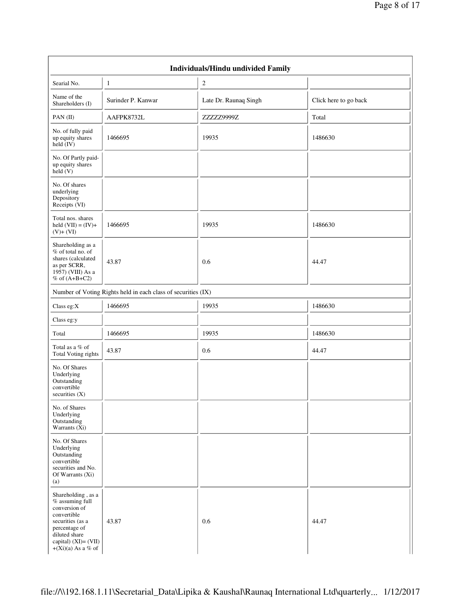|                                                                                                                                                                                |                                                               | Individuals/Hindu undivided Family |                       |
|--------------------------------------------------------------------------------------------------------------------------------------------------------------------------------|---------------------------------------------------------------|------------------------------------|-----------------------|
| Searial No.                                                                                                                                                                    | 1                                                             | 2                                  |                       |
| Name of the<br>Shareholders (I)                                                                                                                                                | Surinder P. Kanwar                                            | Late Dr. Raunaq Singh              | Click here to go back |
| PAN $(II)$                                                                                                                                                                     | AAFPK8732L                                                    | ZZZZZ9999Z                         | Total                 |
| No. of fully paid<br>up equity shares<br>held $(IV)$                                                                                                                           | 1466695                                                       | 19935                              | 1486630               |
| No. Of Partly paid-<br>up equity shares<br>held (V)                                                                                                                            |                                                               |                                    |                       |
| No. Of shares<br>underlying<br>Depository<br>Receipts (VI)                                                                                                                     |                                                               |                                    |                       |
| Total nos. shares<br>held $(VII) = (IV) +$<br>$(V)+(VI)$                                                                                                                       | 1466695                                                       | 19935                              | 1486630               |
| Shareholding as a<br>% of total no. of<br>shares (calculated<br>as per SCRR,<br>1957) (VIII) As a<br>$%$ of $(A+B+C2)$                                                         | 43.87                                                         | 0.6                                | 44.47                 |
|                                                                                                                                                                                | Number of Voting Rights held in each class of securities (IX) |                                    |                       |
| Class eg:X                                                                                                                                                                     | 1466695                                                       | 19935                              | 1486630               |
| Class eg:y                                                                                                                                                                     |                                                               |                                    |                       |
| Total                                                                                                                                                                          | 1466695                                                       | 19935                              | 1486630               |
| Total as a % of<br>Total Voting rights                                                                                                                                         | 43.87                                                         | 0.6                                | 44.47                 |
| No. Of Shares<br>Underlying<br>Outstanding<br>convertible<br>securities $(X)$                                                                                                  |                                                               |                                    |                       |
| No. of Shares<br>Underlying<br>Outstanding<br>Warrants $(Xi)$                                                                                                                  |                                                               |                                    |                       |
| No. Of Shares<br>Underlying<br>Outstanding<br>convertible<br>securities and No.<br>Of Warrants (Xi)<br>(a)                                                                     |                                                               |                                    |                       |
| Shareholding, as a<br>% assuming full<br>conversion of<br>convertible<br>securities (as a<br>percentage of<br>diluted share<br>capital) $(XI) = (VII)$<br>$+(Xi)(a)$ As a % of | 43.87                                                         | 0.6                                | 44.47                 |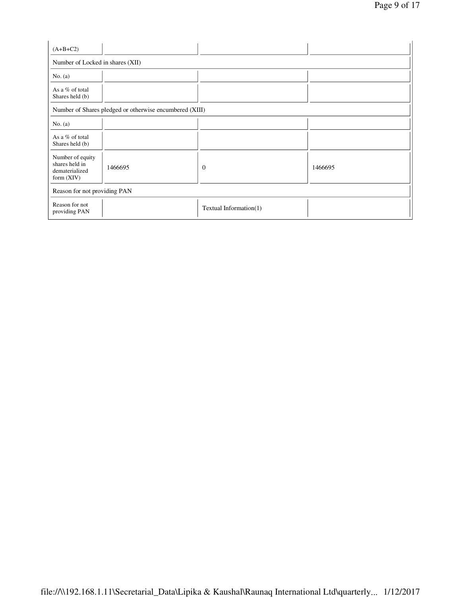| $(A+B+C2)$                                                           |                              |                        |         |  |  |  |  |  |
|----------------------------------------------------------------------|------------------------------|------------------------|---------|--|--|--|--|--|
| Number of Locked in shares (XII)                                     |                              |                        |         |  |  |  |  |  |
| No. (a)                                                              |                              |                        |         |  |  |  |  |  |
| As a % of total<br>Shares held (b)                                   |                              |                        |         |  |  |  |  |  |
| Number of Shares pledged or otherwise encumbered (XIII)              |                              |                        |         |  |  |  |  |  |
| No. (a)                                                              |                              |                        |         |  |  |  |  |  |
| As a % of total<br>Shares held (b)                                   |                              |                        |         |  |  |  |  |  |
| Number of equity<br>shares held in<br>dematerialized<br>form $(XIV)$ | 1466695                      | $\theta$               | 1466695 |  |  |  |  |  |
|                                                                      | Reason for not providing PAN |                        |         |  |  |  |  |  |
| Reason for not<br>providing PAN                                      |                              | Textual Information(1) |         |  |  |  |  |  |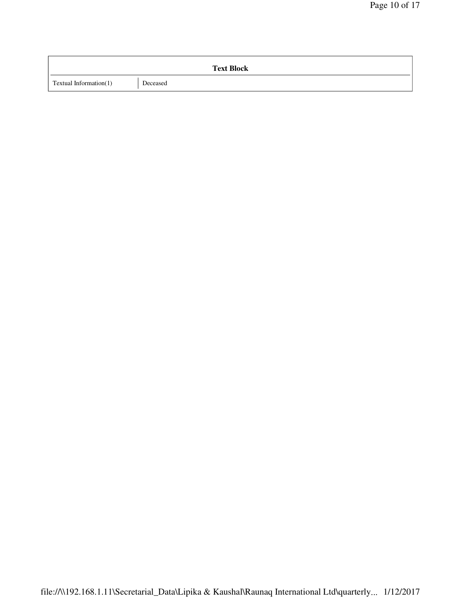|                        | <b>Text Block</b> |
|------------------------|-------------------|
| Textual Information(1) | Deceased          |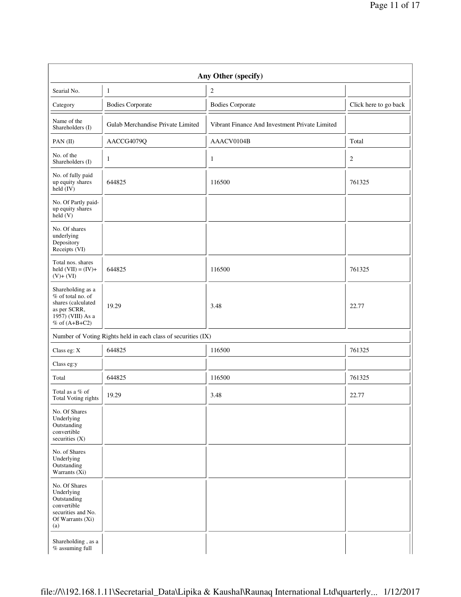| Any Other (specify)                                                                                                      |                                                               |                                                |                       |  |  |  |  |
|--------------------------------------------------------------------------------------------------------------------------|---------------------------------------------------------------|------------------------------------------------|-----------------------|--|--|--|--|
| Searial No.                                                                                                              | 1                                                             | $\boldsymbol{2}$                               |                       |  |  |  |  |
| Category                                                                                                                 | <b>Bodies Corporate</b>                                       | <b>Bodies Corporate</b>                        | Click here to go back |  |  |  |  |
| Name of the<br>Shareholders (I)                                                                                          | Gulab Merchandise Private Limited                             | Vibrant Finance And Investment Private Limited |                       |  |  |  |  |
| PAN $(II)$                                                                                                               | AACCG4079Q                                                    | AAACV0104B                                     | Total                 |  |  |  |  |
| No. of the<br>Shareholders (I)                                                                                           | 1                                                             | $\mathbf{1}$                                   | $\overline{2}$        |  |  |  |  |
| No. of fully paid<br>up equity shares<br>held $(IV)$                                                                     | 644825                                                        | 116500                                         | 761325                |  |  |  |  |
| No. Of Partly paid-<br>up equity shares<br>held (V)                                                                      |                                                               |                                                |                       |  |  |  |  |
| No. Of shares<br>underlying<br>Depository<br>Receipts (VI)                                                               |                                                               |                                                |                       |  |  |  |  |
| Total nos. shares<br>held $(VII) = (IV) +$<br>$(V)+(VI)$                                                                 | 644825                                                        | 116500                                         | 761325                |  |  |  |  |
| Shareholding as a<br>$%$ of total no. of<br>shares (calculated<br>as per SCRR,<br>1957) (VIII) As a<br>$%$ of $(A+B+C2)$ | 19.29                                                         | 3.48                                           | 22.77                 |  |  |  |  |
|                                                                                                                          | Number of Voting Rights held in each class of securities (IX) |                                                |                       |  |  |  |  |
| Class eg: X                                                                                                              | 644825                                                        | 116500                                         | 761325                |  |  |  |  |
| Class eg:y                                                                                                               |                                                               |                                                |                       |  |  |  |  |
| Total                                                                                                                    | 644825                                                        | 116500                                         | 761325                |  |  |  |  |
| Total as a % of<br>Total Voting rights                                                                                   | 19.29                                                         | 3.48                                           | 22.77                 |  |  |  |  |
| No. Of Shares<br>Underlying<br>Outstanding<br>convertible<br>securities $(X)$                                            |                                                               |                                                |                       |  |  |  |  |
| No. of Shares<br>Underlying<br>Outstanding<br>Warrants $(X_i)$                                                           |                                                               |                                                |                       |  |  |  |  |
| No. Of Shares<br>Underlying<br>Outstanding<br>convertible<br>securities and No.<br>Of Warrants (Xi)<br>(a)               |                                                               |                                                |                       |  |  |  |  |
| Shareholding, as a<br>% assuming full                                                                                    |                                                               |                                                |                       |  |  |  |  |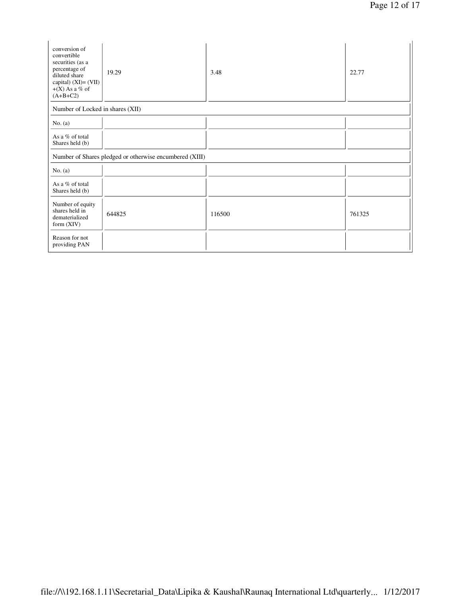| conversion of<br>convertible<br>securities (as a<br>percentage of<br>diluted share<br>capital) $(XI) = (VII)$<br>$+(X)$ As a % of<br>$(A+B+C2)$ | 19.29                                                   | 3.48   | 22.77  |
|-------------------------------------------------------------------------------------------------------------------------------------------------|---------------------------------------------------------|--------|--------|
| Number of Locked in shares (XII)                                                                                                                |                                                         |        |        |
| No. (a)                                                                                                                                         |                                                         |        |        |
| As a % of total<br>Shares held (b)                                                                                                              |                                                         |        |        |
|                                                                                                                                                 | Number of Shares pledged or otherwise encumbered (XIII) |        |        |
| No. (a)                                                                                                                                         |                                                         |        |        |
| As a $%$ of total<br>Shares held (b)                                                                                                            |                                                         |        |        |
| Number of equity<br>shares held in<br>dematerialized<br>form $(XIV)$                                                                            | 644825                                                  | 116500 | 761325 |
| Reason for not<br>providing PAN                                                                                                                 |                                                         |        |        |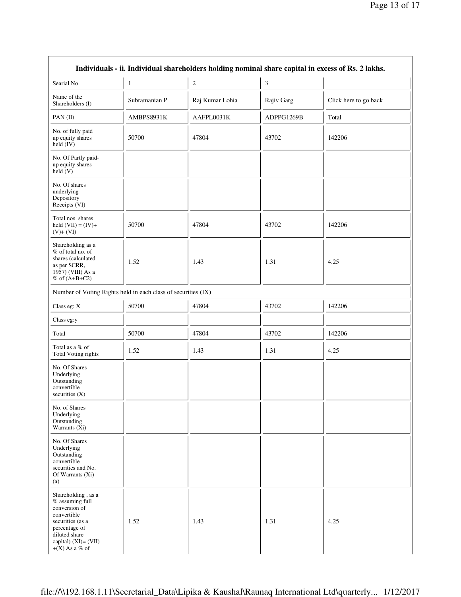| Individuals - ii. Individual shareholders holding nominal share capital in excess of Rs. 2 lakhs.                                                                          |               |                 |                |                       |  |  |
|----------------------------------------------------------------------------------------------------------------------------------------------------------------------------|---------------|-----------------|----------------|-----------------------|--|--|
| Searial No.                                                                                                                                                                | $\mathbf{1}$  | $\overline{c}$  | $\mathfrak{Z}$ |                       |  |  |
| Name of the<br>Shareholders (I)                                                                                                                                            | Subramanian P | Raj Kumar Lohia | Rajiv Garg     | Click here to go back |  |  |
| PAN $(II)$                                                                                                                                                                 | AMBPS8931K    | AAFPL0031K      | ADPPG1269B     | Total                 |  |  |
| No. of fully paid<br>up equity shares<br>held $(IV)$                                                                                                                       | 50700         | 47804           | 43702          | 142206                |  |  |
| No. Of Partly paid-<br>up equity shares<br>held (V)                                                                                                                        |               |                 |                |                       |  |  |
| No. Of shares<br>underlying<br>Depository<br>Receipts (VI)                                                                                                                 |               |                 |                |                       |  |  |
| Total nos. shares<br>held $(VII) = (IV) +$<br>$(V)+(VI)$                                                                                                                   | 50700         | 47804           | 43702          | 142206                |  |  |
| Shareholding as a<br>% of total no. of<br>shares (calculated<br>as per SCRR,<br>1957) (VIII) As a<br>$%$ of $(A+B+C2)$                                                     | 1.52          | 1.43            | 1.31           | 4.25                  |  |  |
| Number of Voting Rights held in each class of securities (IX)                                                                                                              |               |                 |                |                       |  |  |
| Class eg: X                                                                                                                                                                | 50700         | 47804           | 43702          | 142206                |  |  |
| Class eg:y                                                                                                                                                                 |               |                 |                |                       |  |  |
| Total                                                                                                                                                                      | 50700         | 47804           | 43702          | 142206                |  |  |
| Total as a % of<br>Total Voting rights                                                                                                                                     | 1.52          | 1.43            | 1.31           | 4.25                  |  |  |
| No. Of Shares<br>Underlying<br>Outstanding<br>convertible<br>securities $(X)$                                                                                              |               |                 |                |                       |  |  |
| No. of Shares<br>Underlying<br>Outstanding<br>Warrants $(X_i)$                                                                                                             |               |                 |                |                       |  |  |
| No. Of Shares<br>Underlying<br>Outstanding<br>convertible<br>securities and No.<br>Of Warrants (Xi)<br>(a)                                                                 |               |                 |                |                       |  |  |
| Shareholding, as a<br>% assuming full<br>conversion of<br>convertible<br>securities (as a<br>percentage of<br>diluted share<br>capital) $(XI) = (VII)$<br>$+(X)$ As a % of | 1.52          | 1.43            | 1.31           | 4.25                  |  |  |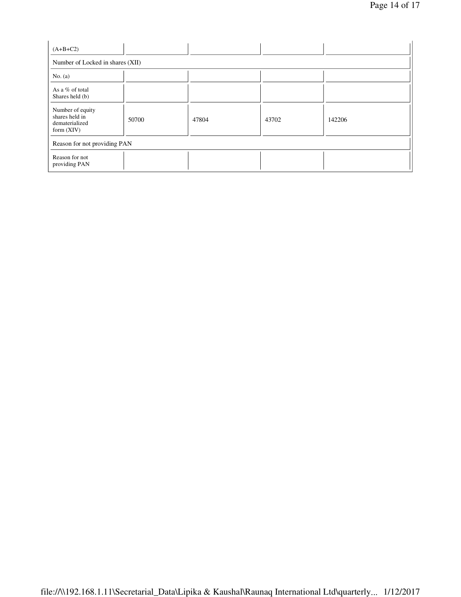| $(A+B+C2)$                                                           |       |       |       |        |  |  |
|----------------------------------------------------------------------|-------|-------|-------|--------|--|--|
| Number of Locked in shares (XII)                                     |       |       |       |        |  |  |
| No. (a)                                                              |       |       |       |        |  |  |
| As a % of total<br>Shares held (b)                                   |       |       |       |        |  |  |
| Number of equity<br>shares held in<br>dematerialized<br>form $(XIV)$ | 50700 | 47804 | 43702 | 142206 |  |  |
| Reason for not providing PAN                                         |       |       |       |        |  |  |
| Reason for not<br>providing PAN                                      |       |       |       |        |  |  |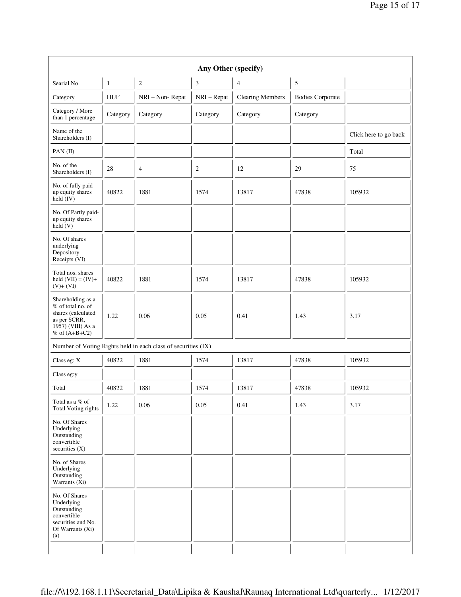| Any Other (specify)                                                                                                      |            |                                                               |             |                         |                         |                       |
|--------------------------------------------------------------------------------------------------------------------------|------------|---------------------------------------------------------------|-------------|-------------------------|-------------------------|-----------------------|
| Searial No.                                                                                                              | 1          | $\overline{c}$                                                | 3           | $\overline{4}$          | $\sqrt{5}$              |                       |
| Category                                                                                                                 | <b>HUF</b> | NRI - Non-Repat                                               | NRI - Repat | <b>Clearing Members</b> | <b>Bodies Corporate</b> |                       |
| Category / More<br>than 1 percentage                                                                                     | Category   | Category                                                      | Category    | Category                | Category                |                       |
| Name of the<br>Shareholders (I)                                                                                          |            |                                                               |             |                         |                         | Click here to go back |
| PAN (II)                                                                                                                 |            |                                                               |             |                         |                         | Total                 |
| No. of the<br>Shareholders (I)                                                                                           | 28         | 4                                                             | 2           | 12                      | 29                      | 75                    |
| No. of fully paid<br>up equity shares<br>held $(IV)$                                                                     | 40822      | 1881                                                          | 1574        | 13817                   | 47838                   | 105932                |
| No. Of Partly paid-<br>up equity shares<br>held (V)                                                                      |            |                                                               |             |                         |                         |                       |
| No. Of shares<br>underlying<br>Depository<br>Receipts (VI)                                                               |            |                                                               |             |                         |                         |                       |
| Total nos. shares<br>held $(VII) = (IV) +$<br>$(V)+(VI)$                                                                 | 40822      | 1881                                                          | 1574        | 13817                   | 47838                   | 105932                |
| Shareholding as a<br>$%$ of total no. of<br>shares (calculated<br>as per SCRR,<br>1957) (VIII) As a<br>$%$ of $(A+B+C2)$ | 1.22       | 0.06                                                          | 0.05        | 0.41                    | 1.43                    | 3.17                  |
|                                                                                                                          |            | Number of Voting Rights held in each class of securities (IX) |             |                         |                         |                       |
| Class eg: X                                                                                                              | 40822      | 1881                                                          | 1574        | 13817                   | 47838                   | 105932                |
| Class eg:y                                                                                                               |            |                                                               |             |                         |                         |                       |
| Total                                                                                                                    | 40822      | 1881                                                          | 1574        | 13817                   | 47838                   | 105932                |
| Total as a % of<br>Total Voting rights                                                                                   | 1.22       | 0.06                                                          | 0.05        | 0.41                    | 1.43                    | 3.17                  |
| No. Of Shares<br>Underlying<br>Outstanding<br>convertible<br>securities (X)                                              |            |                                                               |             |                         |                         |                       |
| No. of Shares<br>Underlying<br>Outstanding<br>Warrants $(X_i)$                                                           |            |                                                               |             |                         |                         |                       |
| No. Of Shares<br>Underlying<br>Outstanding<br>convertible<br>securities and No.<br>Of Warrants (Xi)<br>(a)               |            |                                                               |             |                         |                         |                       |
|                                                                                                                          |            |                                                               |             |                         |                         |                       |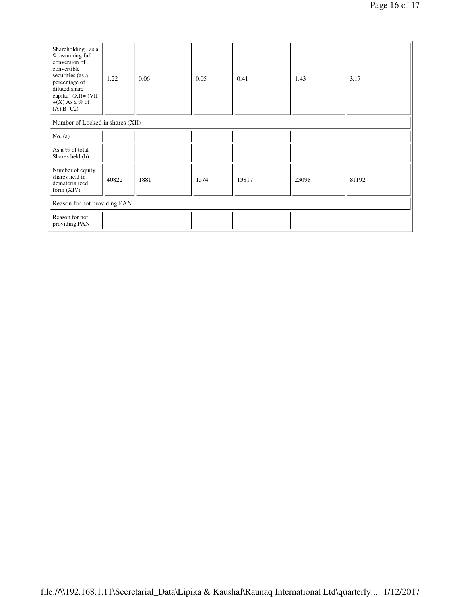| Shareholding, as a<br>% assuming full<br>conversion of<br>convertible<br>securities (as a<br>percentage of<br>diluted share<br>capital) $(XI) = (VII)$<br>$+(X)$ As a % of<br>$(A+B+C2)$ | 1.22  | 0.06 | 0.05 | 0.41  | 1.43  | 3.17  |
|------------------------------------------------------------------------------------------------------------------------------------------------------------------------------------------|-------|------|------|-------|-------|-------|
| Number of Locked in shares (XII)                                                                                                                                                         |       |      |      |       |       |       |
| No. $(a)$                                                                                                                                                                                |       |      |      |       |       |       |
| As a % of total<br>Shares held (b)                                                                                                                                                       |       |      |      |       |       |       |
| Number of equity<br>shares held in<br>dematerialized<br>form $(XIV)$                                                                                                                     | 40822 | 1881 | 1574 | 13817 | 23098 | 81192 |
| Reason for not providing PAN                                                                                                                                                             |       |      |      |       |       |       |
| Reason for not<br>providing PAN                                                                                                                                                          |       |      |      |       |       |       |